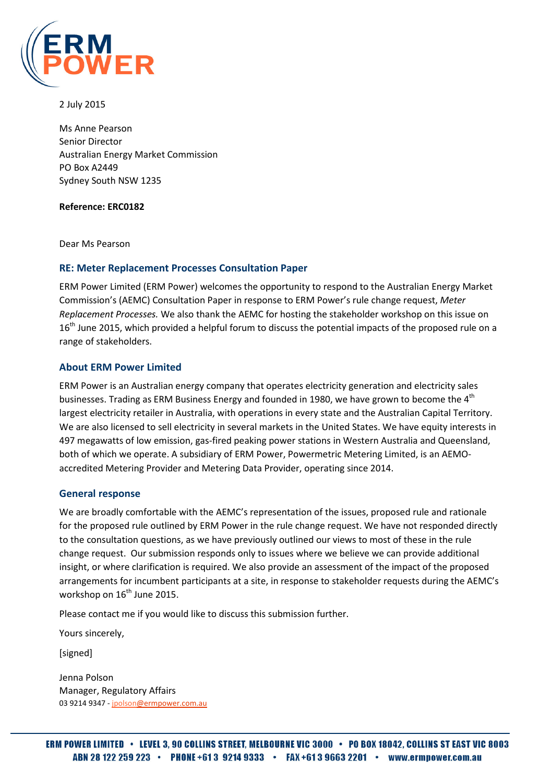

2 July 2015

Ms Anne Pearson Senior Director Australian Energy Market Commission PO Box A2449 Sydney South NSW 1235

#### Reference: ERC0182

Dear Ms Pearson

#### RE: Meter Replacement Processes Consultation Paper

ERM Power Limited (ERM Power) welcomes the opportunity to respond to the Australian Energy Market Commission's (AEMC) Consultation Paper in response to ERM Power's rule change request, Meter Replacement Processes. We also thank the AEMC for hosting the stakeholder workshop on this issue on 16<sup>th</sup> June 2015, which provided a helpful forum to discuss the potential impacts of the proposed rule on a range of stakeholders.

#### About ERM Power Limited

ERM Power is an Australian energy company that operates electricity generation and electricity sales businesses. Trading as ERM Business Energy and founded in 1980, we have grown to become the 4<sup>th</sup> largest electricity retailer in Australia, with operations in every state and the Australian Capital Territory. We are also licensed to sell electricity in several markets in the United States. We have equity interests in 497 megawatts of low emission, gas-fired peaking power stations in Western Australia and Queensland, both of which we operate. A subsidiary of ERM Power, Powermetric Metering Limited, is an AEMOaccredited Metering Provider and Metering Data Provider, operating since 2014.

## General response

We are broadly comfortable with the AEMC's representation of the issues, proposed rule and rationale for the proposed rule outlined by ERM Power in the rule change request. We have not responded directly to the consultation questions, as we have previously outlined our views to most of these in the rule change request. Our submission responds only to issues where we believe we can provide additional insight, or where clarification is required. We also provide an assessment of the impact of the proposed arrangements for incumbent participants at a site, in response to stakeholder requests during the AEMC's workshop on 16<sup>th</sup> June 2015.

Please contact me if you would like to discuss this submission further.

Yours sincerely,

[signed]

Jenna Polson Manager, Regulatory Affairs 03 9214 9347 - jpolson@ermpower.com.au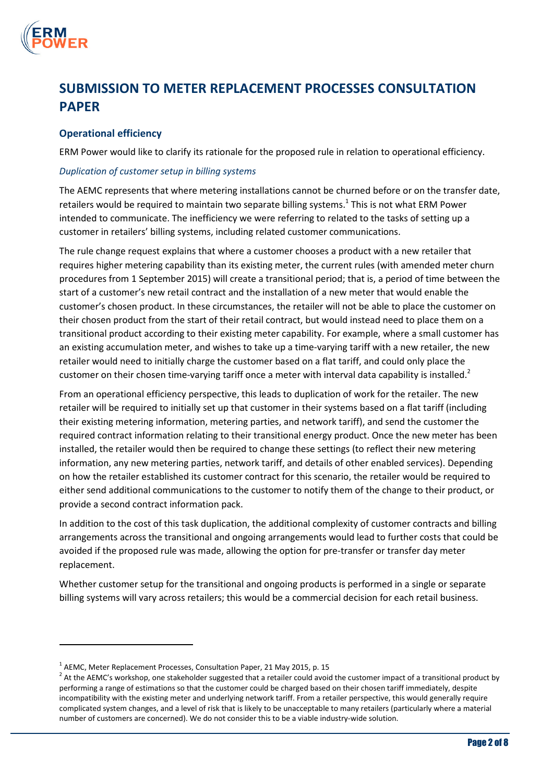

 $\overline{a}$ 

# SUBMISSION TO METER REPLACEMENT PROCESSES CONSULTATION PAPER

# Operational efficiency

ERM Power would like to clarify its rationale for the proposed rule in relation to operational efficiency.

## Duplication of customer setup in billing systems

The AEMC represents that where metering installations cannot be churned before or on the transfer date, retailers would be required to maintain two separate billing systems.<sup>1</sup> This is not what ERM Power intended to communicate. The inefficiency we were referring to related to the tasks of setting up a customer in retailers' billing systems, including related customer communications.

The rule change request explains that where a customer chooses a product with a new retailer that requires higher metering capability than its existing meter, the current rules (with amended meter churn procedures from 1 September 2015) will create a transitional period; that is, a period of time between the start of a customer's new retail contract and the installation of a new meter that would enable the customer's chosen product. In these circumstances, the retailer will not be able to place the customer on their chosen product from the start of their retail contract, but would instead need to place them on a transitional product according to their existing meter capability. For example, where a small customer has an existing accumulation meter, and wishes to take up a time-varying tariff with a new retailer, the new retailer would need to initially charge the customer based on a flat tariff, and could only place the customer on their chosen time-varying tariff once a meter with interval data capability is installed.<sup>2</sup>

From an operational efficiency perspective, this leads to duplication of work for the retailer. The new retailer will be required to initially set up that customer in their systems based on a flat tariff (including their existing metering information, metering parties, and network tariff), and send the customer the required contract information relating to their transitional energy product. Once the new meter has been installed, the retailer would then be required to change these settings (to reflect their new metering information, any new metering parties, network tariff, and details of other enabled services). Depending on how the retailer established its customer contract for this scenario, the retailer would be required to either send additional communications to the customer to notify them of the change to their product, or provide a second contract information pack.

In addition to the cost of this task duplication, the additional complexity of customer contracts and billing arrangements across the transitional and ongoing arrangements would lead to further costs that could be avoided if the proposed rule was made, allowing the option for pre-transfer or transfer day meter replacement.

Whether customer setup for the transitional and ongoing products is performed in a single or separate billing systems will vary across retailers; this would be a commercial decision for each retail business.

 $^1$  AEMC, Meter Replacement Processes, Consultation Paper, 21 May 2015, p. 15

 $^2$  At the AEMC's workshop, one stakeholder suggested that a retailer could avoid the customer impact of a transitional product by performing a range of estimations so that the customer could be charged based on their chosen tariff immediately, despite incompatibility with the existing meter and underlying network tariff. From a retailer perspective, this would generally require complicated system changes, and a level of risk that is likely to be unacceptable to many retailers (particularly where a material number of customers are concerned). We do not consider this to be a viable industry-wide solution.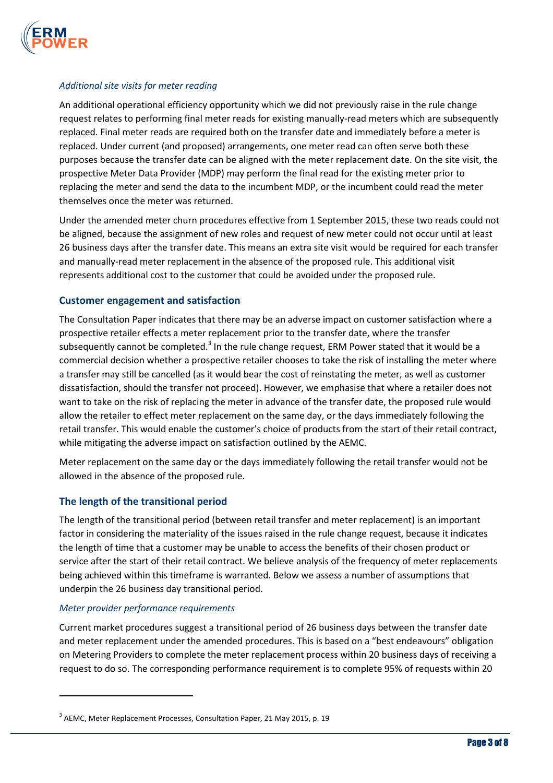

## Additional site visits for meter reading

An additional operational efficiency opportunity which we did not previously raise in the rule change request relates to performing final meter reads for existing manually-read meters which are subsequently replaced. Final meter reads are required both on the transfer date and immediately before a meter is replaced. Under current (and proposed) arrangements, one meter read can often serve both these purposes because the transfer date can be aligned with the meter replacement date. On the site visit, the prospective Meter Data Provider (MDP) may perform the final read for the existing meter prior to replacing the meter and send the data to the incumbent MDP, or the incumbent could read the meter themselves once the meter was returned.

Under the amended meter churn procedures effective from 1 September 2015, these two reads could not be aligned, because the assignment of new roles and request of new meter could not occur until at least 26 business days after the transfer date. This means an extra site visit would be required for each transfer and manually-read meter replacement in the absence of the proposed rule. This additional visit represents additional cost to the customer that could be avoided under the proposed rule.

## Customer engagement and satisfaction

The Consultation Paper indicates that there may be an adverse impact on customer satisfaction where a prospective retailer effects a meter replacement prior to the transfer date, where the transfer subsequently cannot be completed.<sup>3</sup> In the rule change request, ERM Power stated that it would be a commercial decision whether a prospective retailer chooses to take the risk of installing the meter where a transfer may still be cancelled (as it would bear the cost of reinstating the meter, as well as customer dissatisfaction, should the transfer not proceed). However, we emphasise that where a retailer does not want to take on the risk of replacing the meter in advance of the transfer date, the proposed rule would allow the retailer to effect meter replacement on the same day, or the days immediately following the retail transfer. This would enable the customer's choice of products from the start of their retail contract, while mitigating the adverse impact on satisfaction outlined by the AEMC.

Meter replacement on the same day or the days immediately following the retail transfer would not be allowed in the absence of the proposed rule.

## The length of the transitional period

The length of the transitional period (between retail transfer and meter replacement) is an important factor in considering the materiality of the issues raised in the rule change request, because it indicates the length of time that a customer may be unable to access the benefits of their chosen product or service after the start of their retail contract. We believe analysis of the frequency of meter replacements being achieved within this timeframe is warranted. Below we assess a number of assumptions that underpin the 26 business day transitional period.

#### Meter provider performance requirements

l

Current market procedures suggest a transitional period of 26 business days between the transfer date and meter replacement under the amended procedures. This is based on a "best endeavours" obligation on Metering Providers to complete the meter replacement process within 20 business days of receiving a request to do so. The corresponding performance requirement is to complete 95% of requests within 20

 $3$  AEMC, Meter Replacement Processes, Consultation Paper, 21 May 2015, p. 19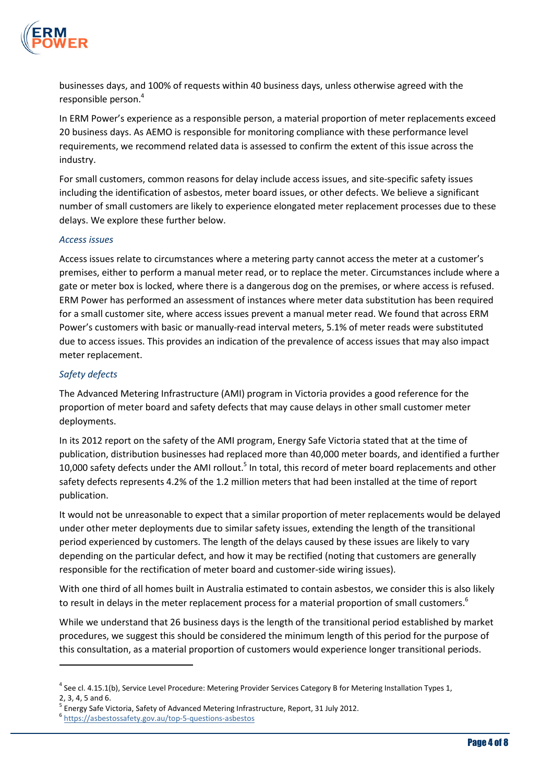

businesses days, and 100% of requests within 40 business days, unless otherwise agreed with the responsible person.<sup>4</sup>

In ERM Power's experience as a responsible person, a material proportion of meter replacements exceed 20 business days. As AEMO is responsible for monitoring compliance with these performance level requirements, we recommend related data is assessed to confirm the extent of this issue across the industry.

For small customers, common reasons for delay include access issues, and site-specific safety issues including the identification of asbestos, meter board issues, or other defects. We believe a significant number of small customers are likely to experience elongated meter replacement processes due to these delays. We explore these further below.

#### Access issues

Access issues relate to circumstances where a metering party cannot access the meter at a customer's premises, either to perform a manual meter read, or to replace the meter. Circumstances include where a gate or meter box is locked, where there is a dangerous dog on the premises, or where access is refused. ERM Power has performed an assessment of instances where meter data substitution has been required for a small customer site, where access issues prevent a manual meter read. We found that across ERM Power's customers with basic or manually-read interval meters, 5.1% of meter reads were substituted due to access issues. This provides an indication of the prevalence of access issues that may also impact meter replacement.

#### Safety defects

The Advanced Metering Infrastructure (AMI) program in Victoria provides a good reference for the proportion of meter board and safety defects that may cause delays in other small customer meter deployments.

In its 2012 report on the safety of the AMI program, Energy Safe Victoria stated that at the time of publication, distribution businesses had replaced more than 40,000 meter boards, and identified a further 10,000 safety defects under the AMI rollout.<sup>5</sup> In total, this record of meter board replacements and other safety defects represents 4.2% of the 1.2 million meters that had been installed at the time of report publication.

It would not be unreasonable to expect that a similar proportion of meter replacements would be delayed under other meter deployments due to similar safety issues, extending the length of the transitional period experienced by customers. The length of the delays caused by these issues are likely to vary depending on the particular defect, and how it may be rectified (noting that customers are generally responsible for the rectification of meter board and customer-side wiring issues).

With one third of all homes built in Australia estimated to contain asbestos, we consider this is also likely to result in delays in the meter replacement process for a material proportion of small customers.<sup>6</sup>

While we understand that 26 business days is the length of the transitional period established by market procedures, we suggest this should be considered the minimum length of this period for the purpose of this consultation, as a material proportion of customers would experience longer transitional periods.

l

<sup>&</sup>lt;sup>4</sup> See cl. 4.15.1(b), Service Level Procedure: Metering Provider Services Category B for Metering Installation Types 1,

<sup>2, 3, 4, 5</sup> and 6.

<sup>&</sup>lt;sup>5</sup> Energy Safe Victoria, Safety of Advanced Metering Infrastructure, Report, 31 July 2012.

<sup>6</sup> https://asbestossafety.gov.au/top-5-questions-asbestos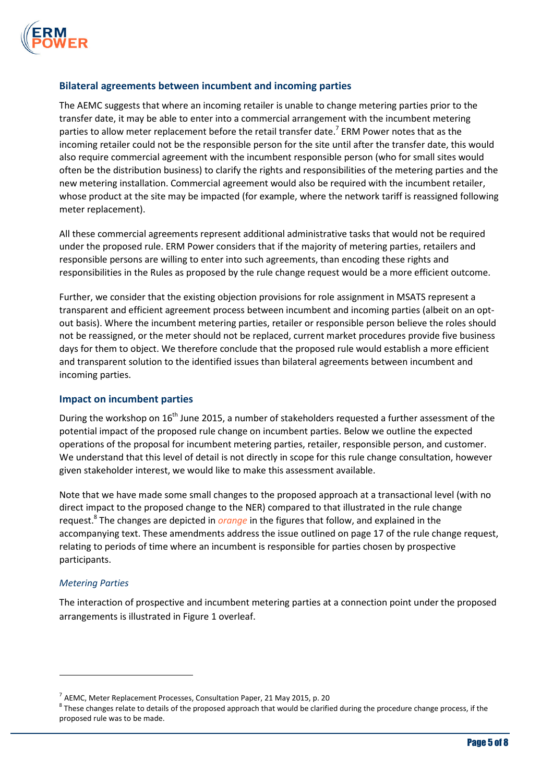

## Bilateral agreements between incumbent and incoming parties

The AEMC suggests that where an incoming retailer is unable to change metering parties prior to the transfer date, it may be able to enter into a commercial arrangement with the incumbent metering parties to allow meter replacement before the retail transfer date.<sup>7</sup> ERM Power notes that as the incoming retailer could not be the responsible person for the site until after the transfer date, this would also require commercial agreement with the incumbent responsible person (who for small sites would often be the distribution business) to clarify the rights and responsibilities of the metering parties and the new metering installation. Commercial agreement would also be required with the incumbent retailer, whose product at the site may be impacted (for example, where the network tariff is reassigned following meter replacement).

All these commercial agreements represent additional administrative tasks that would not be required under the proposed rule. ERM Power considers that if the majority of metering parties, retailers and responsible persons are willing to enter into such agreements, than encoding these rights and responsibilities in the Rules as proposed by the rule change request would be a more efficient outcome.

Further, we consider that the existing objection provisions for role assignment in MSATS represent a transparent and efficient agreement process between incumbent and incoming parties (albeit on an optout basis). Where the incumbent metering parties, retailer or responsible person believe the roles should not be reassigned, or the meter should not be replaced, current market procedures provide five business days for them to object. We therefore conclude that the proposed rule would establish a more efficient and transparent solution to the identified issues than bilateral agreements between incumbent and incoming parties.

#### Impact on incumbent parties

During the workshop on  $16<sup>th</sup>$  June 2015, a number of stakeholders requested a further assessment of the potential impact of the proposed rule change on incumbent parties. Below we outline the expected operations of the proposal for incumbent metering parties, retailer, responsible person, and customer. We understand that this level of detail is not directly in scope for this rule change consultation, however given stakeholder interest, we would like to make this assessment available.

Note that we have made some small changes to the proposed approach at a transactional level (with no direct impact to the proposed change to the NER) compared to that illustrated in the rule change request.<sup>8</sup> The changes are depicted in *orange* in the figures that follow, and explained in the accompanying text. These amendments address the issue outlined on page 17 of the rule change request, relating to periods of time where an incumbent is responsible for parties chosen by prospective participants.

#### Metering Parties

 $\overline{a}$ 

The interaction of prospective and incumbent metering parties at a connection point under the proposed arrangements is illustrated in Figure 1 overleaf.

 $^7$  AEMC, Meter Replacement Processes, Consultation Paper, 21 May 2015, p. 20

 $^8$  These changes relate to details of the proposed approach that would be clarified during the procedure change process, if the proposed rule was to be made.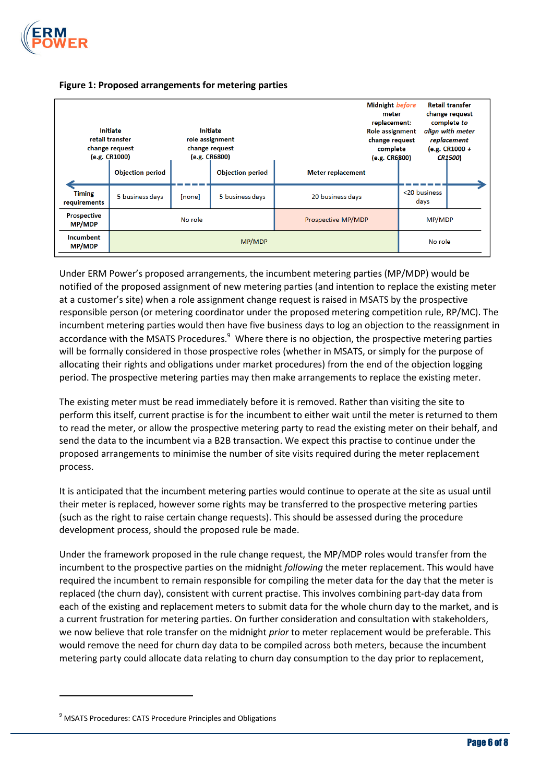



#### Figure 1: Proposed arrangements for metering parties

Under ERM Power's proposed arrangements, the incumbent metering parties (MP/MDP) would be notified of the proposed assignment of new metering parties (and intention to replace the existing meter at a customer's site) when a role assignment change request is raised in MSATS by the prospective responsible person (or metering coordinator under the proposed metering competition rule, RP/MC). The incumbent metering parties would then have five business days to log an objection to the reassignment in accordance with the MSATS Procedures.<sup>9</sup> Where there is no objection, the prospective metering parties will be formally considered in those prospective roles (whether in MSATS, or simply for the purpose of allocating their rights and obligations under market procedures) from the end of the objection logging period. The prospective metering parties may then make arrangements to replace the existing meter.

The existing meter must be read immediately before it is removed. Rather than visiting the site to perform this itself, current practise is for the incumbent to either wait until the meter is returned to them to read the meter, or allow the prospective metering party to read the existing meter on their behalf, and send the data to the incumbent via a B2B transaction. We expect this practise to continue under the proposed arrangements to minimise the number of site visits required during the meter replacement process.

It is anticipated that the incumbent metering parties would continue to operate at the site as usual until their meter is replaced, however some rights may be transferred to the prospective metering parties (such as the right to raise certain change requests). This should be assessed during the procedure development process, should the proposed rule be made.

Under the framework proposed in the rule change request, the MP/MDP roles would transfer from the incumbent to the prospective parties on the midnight following the meter replacement. This would have required the incumbent to remain responsible for compiling the meter data for the day that the meter is replaced (the churn day), consistent with current practise. This involves combining part-day data from each of the existing and replacement meters to submit data for the whole churn day to the market, and is a current frustration for metering parties. On further consideration and consultation with stakeholders, we now believe that role transfer on the midnight *prior* to meter replacement would be preferable. This would remove the need for churn day data to be compiled across both meters, because the incumbent metering party could allocate data relating to churn day consumption to the day prior to replacement,

l

<sup>&</sup>lt;sup>9</sup> MSATS Procedures: CATS Procedure Principles and Obligations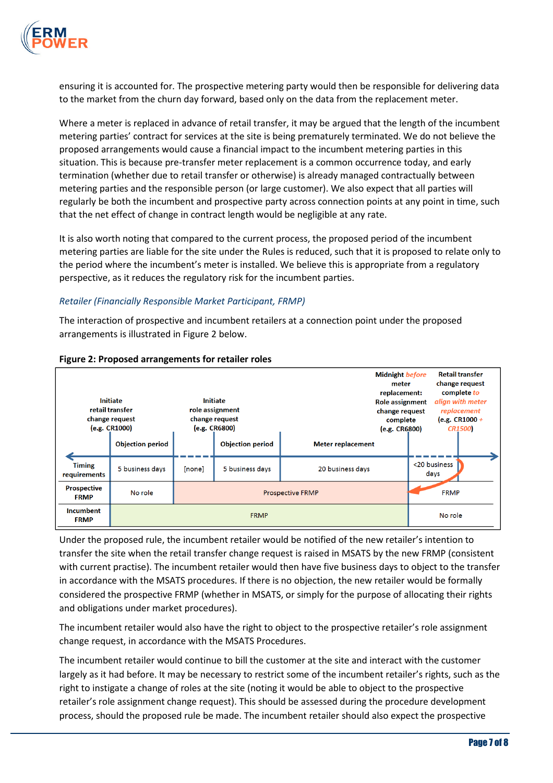

ensuring it is accounted for. The prospective metering party would then be responsible for delivering data to the market from the churn day forward, based only on the data from the replacement meter.

Where a meter is replaced in advance of retail transfer, it may be argued that the length of the incumbent metering parties' contract for services at the site is being prematurely terminated. We do not believe the proposed arrangements would cause a financial impact to the incumbent metering parties in this situation. This is because pre-transfer meter replacement is a common occurrence today, and early termination (whether due to retail transfer or otherwise) is already managed contractually between metering parties and the responsible person (or large customer). We also expect that all parties will regularly be both the incumbent and prospective party across connection points at any point in time, such that the net effect of change in contract length would be negligible at any rate.

It is also worth noting that compared to the current process, the proposed period of the incumbent metering parties are liable for the site under the Rules is reduced, such that it is proposed to relate only to the period where the incumbent's meter is installed. We believe this is appropriate from a regulatory perspective, as it reduces the regulatory risk for the incumbent parties.

## Retailer (Financially Responsible Market Participant, FRMP)

The interaction of prospective and incumbent retailers at a connection point under the proposed arrangements is illustrated in Figure 2 below.

| <b>Initiate</b><br>retail transfer<br>change request<br>(e.g. CR1000) |                         | Initiate<br>role assignment<br>change request<br>(e.g. CR6800) |                         |                          | <b>Midnight before</b><br>meter<br>replacement:<br><b>Role assignment</b><br>change request<br>complete<br>(e.g. CR6800) | <b>Retail transfer</b><br>change request<br>complete to<br>align with meter<br>replacement<br>(e.g. $CR1000 +$<br><b>CR1500</b> |  |
|-----------------------------------------------------------------------|-------------------------|----------------------------------------------------------------|-------------------------|--------------------------|--------------------------------------------------------------------------------------------------------------------------|---------------------------------------------------------------------------------------------------------------------------------|--|
|                                                                       | <b>Objection period</b> |                                                                | <b>Objection period</b> | <b>Meter replacement</b> |                                                                                                                          |                                                                                                                                 |  |
| <b>Timing</b><br>requirements                                         | 5 business days         | [none]                                                         | 5 business days         | 20 business days         |                                                                                                                          | <20 business<br>days                                                                                                            |  |
| <b>Prospective</b><br><b>FRMP</b>                                     | No role                 | <b>Prospective FRMP</b>                                        |                         |                          |                                                                                                                          | <b>FRMP</b>                                                                                                                     |  |
| <b>Incumbent</b><br><b>FRMP</b>                                       |                         | No role                                                        |                         |                          |                                                                                                                          |                                                                                                                                 |  |

#### Figure 2: Proposed arrangements for retailer roles

Under the proposed rule, the incumbent retailer would be notified of the new retailer's intention to transfer the site when the retail transfer change request is raised in MSATS by the new FRMP (consistent with current practise). The incumbent retailer would then have five business days to object to the transfer in accordance with the MSATS procedures. If there is no objection, the new retailer would be formally considered the prospective FRMP (whether in MSATS, or simply for the purpose of allocating their rights and obligations under market procedures).

The incumbent retailer would also have the right to object to the prospective retailer's role assignment change request, in accordance with the MSATS Procedures.

The incumbent retailer would continue to bill the customer at the site and interact with the customer largely as it had before. It may be necessary to restrict some of the incumbent retailer's rights, such as the right to instigate a change of roles at the site (noting it would be able to object to the prospective retailer's role assignment change request). This should be assessed during the procedure development process, should the proposed rule be made. The incumbent retailer should also expect the prospective